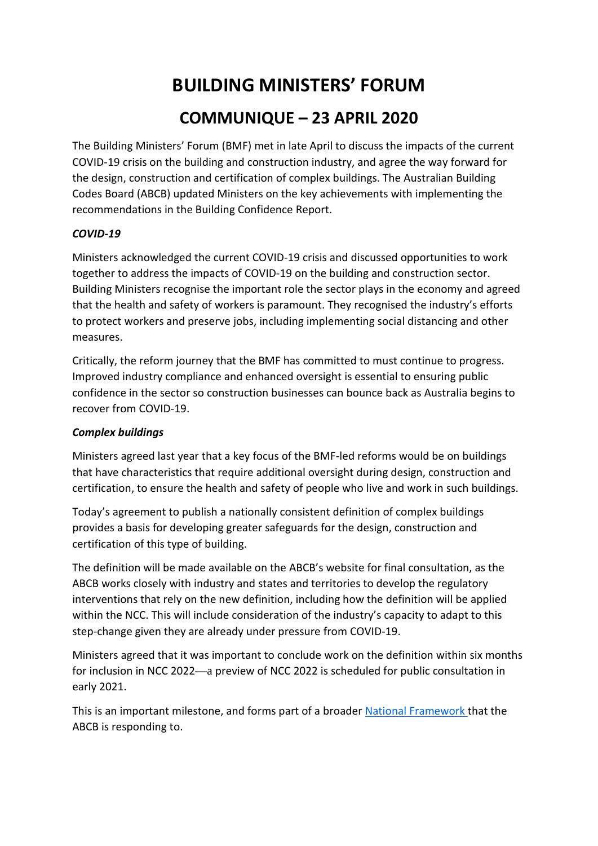## **BUILDING MINISTERS' FORUM COMMUNIQUE – 23 APRIL 2020**

The Building Ministers' Forum (BMF) met in late April to discuss the impacts of the current COVID-19 crisis on the building and construction industry, and agree the way forward for the design, construction and certification of complex buildings. The Australian Building Codes Board (ABCB) updated Ministers on the key achievements with implementing the recommendations in the Building Confidence Report.

## *COVID-19*

Ministers acknowledged the current COVID-19 crisis and discussed opportunities to work together to address the impacts of COVID-19 on the building and construction sector. Building Ministers recognise the important role the sector plays in the economy and agreed that the health and safety of workers is paramount. They recognised the industry's efforts to protect workers and preserve jobs, including implementing social distancing and other measures.

Critically, the reform journey that the BMF has committed to must continue to progress. Improved industry compliance and enhanced oversight is essential to ensuring public confidence in the sector so construction businesses can bounce back as Australia begins to recover from COVID-19.

## *Complex buildings*

Ministers agreed last year that a key focus of the BMF-led reforms would be on buildings that have characteristics that require additional oversight during design, construction and certification, to ensure the health and safety of people who live and work in such buildings.

Today's agreement to publish a nationally consistent definition of complex buildings provides a basis for developing greater safeguards for the design, construction and certification of this type of building.

The definition will be made available on the ABCB's website for final consultation, as the ABCB works closely with industry and states and territories to develop the regulatory interventions that rely on the new definition, including how the definition will be applied within the NCC. This will include consideration of the industry's capacity to adapt to this step-change given they are already under pressure from COVID-19.

Ministers agreed that it was important to conclude work on the definition within six months for inclusion in NCC 2022—a preview of NCC 2022 is scheduled for public consultation in early 2021.

This is an important milestone, and forms part of a broader [National Framework](https://www.abcb.gov.au/Resources/Publications/Corporate/Building-Confidence-National-Framework) that the ABCB is responding to.